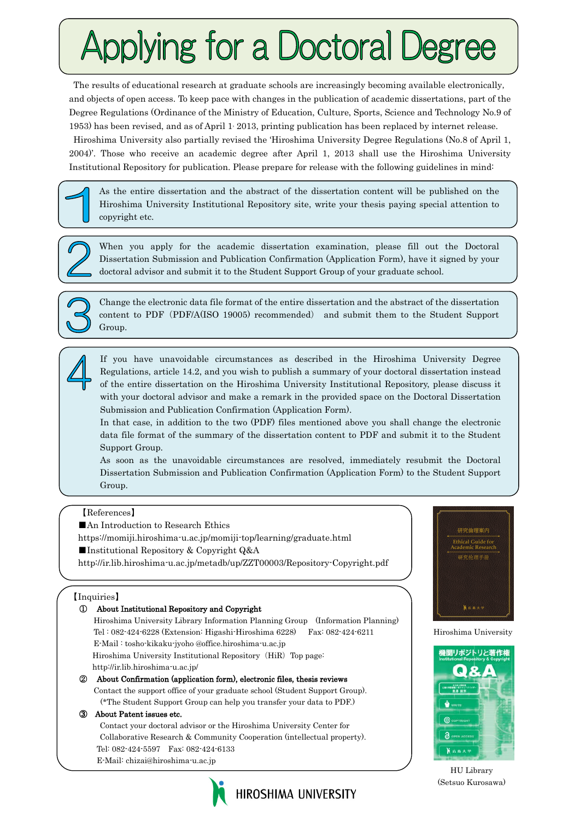# Applying for a Doctoral Degree

The results of educational research at graduate schools are increasingly becoming available electronically, and objects of open access. To keep pace with changes in the publication of academic dissertations, part of the Degree Regulations (Ordinance of the Ministry of Education, Culture, Sports, Science and Technology No.9 of 1953) has been revised, and as of April 1, 2013, printing publication has been replaced by internet release. Hiroshima University also partially revised the 'Hiroshima University Degree Regulations (No.8 of April 1, 2004)'. Those who receive an academic degree after April 1, 2013 shall use the Hiroshima University Institutional Repository for publication. Please prepare for release with the following guidelines in mind:

As the entire dissertation and the abstract of the dissertation content will be published on the Hiroshima University Institutional Repository site, write your thesis paying special attention to copyright etc.

When you apply for the academic dissertation examination, please fill out the Doctoral Dissertation Submission and Publication Confirmation (Application Form), have it signed by your doctoral advisor and submit it to the Student Support Group of your graduate school.



Change the electronic data file format of the entire dissertation and the abstract of the dissertation content to PDF(PDF/A(ISO 19005) recommended) and submit them to the Student Support Group.



If you have unavoidable circumstances as described in the Hiroshima University Degree Regulations, article 14.2, and you wish to publish a summary of your doctoral dissertation instead of the entire dissertation on the Hiroshima University Institutional Repository, please discuss it with your doctoral advisor and make a remark in the provided space on the Doctoral Dissertation Submission and Publication Confirmation (Application Form).

In that case, in addition to the two (PDF) files mentioned above you shall change the electronic data file format of the summary of the dissertation content to PDF and submit it to the Student Support Group.

As soon as the unavoidable circumstances are resolved, immediately resubmit the Doctoral Dissertation Submission and Publication Confirmation (Application Form) to the Student Support Group.

HIROSHIMA UNIVERSITY

## 【References】

■An Introduction to Research Ethics

https://momiji.hiroshima-u.ac.jp/momiji-top/learning/graduate.html

■Institutional Repository & Copyright Q&A

http://ir.lib.hiroshima-u.ac.jp/metadb/up/ZZT00003/Repository-Copyright.pdf

### 【Inquiries】

## ① About Institutional Repository and Copyright Hiroshima University Library Information Planning Group (Information Planning) Tel : 082-424-6228 (Extension: Higashi-Hiroshima 6228) Fax: 082-424-6211 E-Mail [: tosho-kikaku-jyoho @office.hiroshima-u.ac.jp](mailto:tosho-kikaku-jyoho%20@office.hiroshima-u.ac.jp) Hiroshima University Institutional Repository (HiR) Top page: http://ir.lib.hiroshima-u.ac.jp/ ② About Confirmation (application form), electronic files, thesis reviews Contact the support office of your graduate school (Student Support Group). (\*The Student Support Group can help you transfer your data to PDF.) ③ About Patent issues etc. Contact your doctoral advisor or the Hiroshima University Center for Collaborative Research & Community Cooperation (intellectual property). Tel: 082-424-5597 Fax: 082-424-6133 E-Mail: chizai@hiroshima-u.ac.jp



Hiroshima University



HU Library (Setsuo Kurosawa)